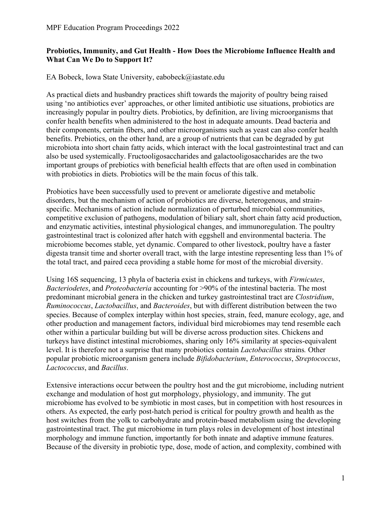## **Probiotics, Immunity, and Gut Health - How Does the Microbiome Influence Health and What Can We Do to Support It?**

EA Bobeck, Iowa State University, eabobeck@iastate.edu

As practical diets and husbandry practices shift towards the majority of poultry being raised using 'no antibiotics ever' approaches, or other limited antibiotic use situations, probiotics are increasingly popular in poultry diets. Probiotics, by definition, are living microorganisms that confer health benefits when administered to the host in adequate amounts. Dead bacteria and their components, certain fibers, and other microorganisms such as yeast can also confer health benefits. Prebiotics, on the other hand, are a group of nutrients that can be degraded by gut microbiota into short chain fatty acids, which interact with the local gastrointestinal tract and can also be used systemically. Fructooligosaccharides and galactooligosaccharides are the two important groups of prebiotics with beneficial health effects that are often used in combination with probiotics in diets. Probiotics will be the main focus of this talk.

Probiotics have been successfully used to prevent or ameliorate digestive and metabolic disorders, but the mechanism of action of probiotics are diverse, heterogenous, and strainspecific. Mechanisms of action include normalization of perturbed microbial communities, competitive exclusion of pathogens, modulation of biliary salt, short chain fatty acid production, and enzymatic activities, intestinal physiological changes, and immunoregulation. The poultry gastrointestinal tract is colonized after hatch with eggshell and environmental bacteria. The microbiome becomes stable, yet dynamic. Compared to other livestock, poultry have a faster digesta transit time and shorter overall tract, with the large intestine representing less than 1% of the total tract, and paired ceca providing a stable home for most of the microbial diversity.

Using 16S sequencing, 13 phyla of bacteria exist in chickens and turkeys, with *Firmicutes*, *Bacteriodetes*, and *Proteobacteria* accounting for >90% of the intestinal bacteria. The most predominant microbial genera in the chicken and turkey gastrointestinal tract are *Clostridium*, *Ruminococcus*, *Lactobacillus*, and *Bacteroides*, but with different distribution between the two species. Because of complex interplay within host species, strain, feed, manure ecology, age, and other production and management factors, individual bird microbiomes may tend resemble each other within a particular building but will be diverse across production sites. Chickens and turkeys have distinct intestinal microbiomes, sharing only 16% similarity at species-equivalent level. It is therefore not a surprise that many probiotics contain *Lactobacillus* strains*.* Other popular probiotic microorganism genera include *Bifidobacterium*, *Enterococcus*, *Streptococcus*, *Lactococcus*, and *Bacillus*.

Extensive interactions occur between the poultry host and the gut microbiome, including nutrient exchange and modulation of host gut morphology, physiology, and immunity. The gut microbiome has evolved to be symbiotic in most cases, but in competition with host resources in others. As expected, the early post-hatch period is critical for poultry growth and health as the host switches from the yolk to carbohydrate and protein-based metabolism using the developing gastrointestinal tract. The gut microbiome in turn plays roles in development of host intestinal morphology and immune function, importantly for both innate and adaptive immune features. Because of the diversity in probiotic type, dose, mode of action, and complexity, combined with